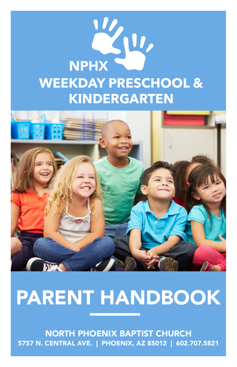



## PARENT HANDBOOK

NORTH PHOENIX BAPTIST CHURCH 5757 N. CENTRAL AVE. | PHOENIX, AZ 85012 | 602.707.5821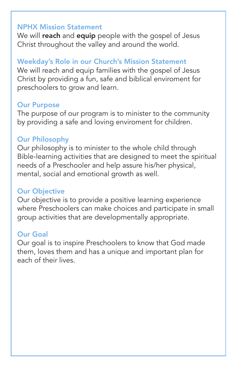#### NPHX Mission Statement

We will reach and equip people with the gospel of Jesus Christ throughout the valley and around the world.

### Weekday's Role in our Church's Mission Statement

We will reach and equip families with the gospel of Jesus Christ by providing a fun, safe and biblical enviroment for preschoolers to grow and learn.

#### Our Purpose

The purpose of our program is to minister to the community by providing a safe and loving enviroment for children.

#### Our Philosophy

Our philosophy is to minister to the whole child through Bible-learning activities that are designed to meet the spiritual needs of a Preschooler and help assure his/her physical, mental, social and emotional growth as well.

#### Our Objective

Our objective is to provide a positive learning experience where Preschoolers can make choices and participate in small group activities that are developmentally appropriate.

#### Our Goal

Our goal is to inspire Preschoolers to know that God made them, loves them and has a unique and important plan for each of their lives.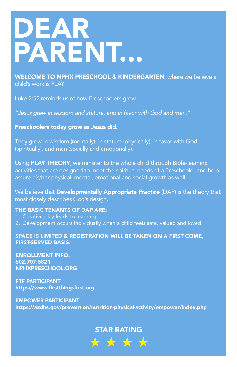# DEAR PARENT...

WELCOME TO NPHX PRESCHOOL & KINDERGARTEN, where we believe a child's work is PLAY!

Luke 2:52 reminds us of how Preschoolers grow.

*"Jesus grew in wisdom and stature, and in favor with God and men."*

Preschoolers today grow as Jesus did.

They grow in wisdom (mentally), in stature (physically), in favor with God (spiritually), and man (socially and emotionally).

Using **PLAY THEORY**, we minister to the whole child through Bible-learning activities that are designed to meet the spiritual needs of a Preschooler and help assure his/her physical, mental, emotional and social growth as well.

We believe that **Developmentally Appropriate Practice** (DAP) is the theory that most closely describes God's design.

#### THE BASIC TENANTS OF DAP ARE:

- 1. Creative play leads to learning.
- 2. Development occurs individually when a child feels safe, valued and loved!

SPACE IS LIMITED & REGISTRATION WILL BE TAKEN ON A FIRST COME, FIRST-SERVED BASIS.

ENROLLMENT INFO: 602.707.5821 NPHXPRESCHOOL.ORG

FTF PARTICIPANT https://www.firstthingsfirst.org

EMPOWER PARTICIPANT https://azdhs.gov/prevention/nutrition-physical-activity/empower/index.php

## STAR RATING\* \* \* \*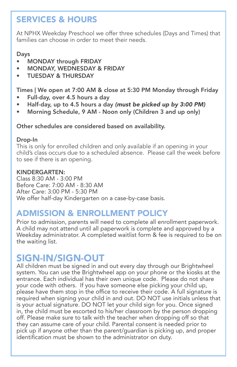## SERVICES & HOURS

At NPHX Weekday Preschool we offer three schedules (Days and Times) that families can choose in order to meet their needs.

#### Days

- MONDAY through FRIDAY
- MONDAY, WEDNESDAY & FRIDAY
- TUESDAY & THURSDAY

Times | We open at 7:00 AM & close at 5:30 PM Monday through Friday

- Full-day, over 4.5 hours a day
- Half-day, up to 4.5 hours a day *(must be picked up by 3:00 PM)*
- Morning Schedule, 9 AM Noon only (Children 3 and up only)

#### Other schedules are considered based on availability.

#### Drop-In

This is only for enrolled children and only available if an opening in your child's class occurs due to a scheduled absence. Please call the week before to see if there is an opening.

#### KINDERGARTEN:

Class 8:30 AM - 3:00 PM Before Care: 7:00 AM - 8:30 AM After Care: 3:00 PM - 5:30 PM We offer half-day Kindergarten on a case-by-case basis.

## ADMISSION & ENROLLMENT POLICY

Prior to admission, parents will need to complete all enrollment paperwork. A child may not attend until all paperwork is complete and approved by a Weekday administrator. A completed waitlist form & fee is required to be on the waiting list.

## SIGN-IN/SIGN-OUT

All children must be signed in and out every day through our Brightwheel system. You can use the Brightwheel app on your phone or the kiosks at the entrance. Each individual has their own unique code. Please do not share your code with others. If you have someone else picking your child up, please have them stop in the office to receive their code. A full signature is required when signing your child in and out. DO NOT use initials unless that is your actual signature. DO NOT let your child sign for you. Once signed in, the child must be escorted to his/her classroom by the person dropping off. Please make sure to talk with the teacher when dropping off so that they can assume care of your child. Parental consent is needed prior to pick up if anyone other than the parent/guardian is picking up, and proper identification must be shown to the administrator on duty.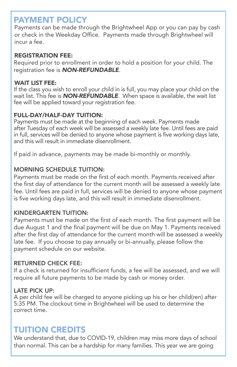## PAYMENT POLICY

Payments can be made through the Brightwheel App or you can pay by cash or check in the Weekday Office. Payments made through Brightwheel will incur a fee.

#### REGISTRATION FEE:

Required prior to enrollment in order to hold a position for your child. The registration fee is *NON-REFUNDABLE*.

#### WAIT LIST FEE:

If the class you wish to enroll your child in is full, you may place your child on the wait list. This fee is *NON-REFUNDABLE*. When space is available, the wait list fee will be applied toward your registration fee.

#### FULL-DAY/HALF-DAY TUITION:

Payments must be made at the beginning of each week. Payments made after Tuesday of each week will be assessed a weekly late fee. Until fees are paid in full, services will be denied to anyone whose payment is five working days late, and this will result in immediate disenrollment.

If paid in advance, payments may be made bi-monthly or monthly.

#### MORNING SCHEDULE TUITION:

Payments must be made on the first of each month. Payments received after the first day of attendance for the current month will be assessed a weekly late fee. Until fees are paid in full, services will be denied to anyone whose payment is five working days late, and this will result in immediate disenrollment.

#### KINDERGARTEN TUITION:

Payments must be made on the first of each month. The first payment will be due August 1 and the final payment will be due on May 1. Payments received after the first day of attendance for the current month will be assessed a weekly late fee. If you choose to pay annually or bi-annually, please follow the payment schedule on our website.

#### RETURNED CHECK FEE:

If a check is returned for insufficient funds, a fee will be assessed, and we will require all future payments to be made by cash or money order.

#### LATE PICK UP:

A per child fee will be charged to anyone picking up his or her child(ren) after 5:35 PM. The clockout time in Brightwheel will be used to determine the correct time.

## TUITION CREDITS

We understand that, due to COVID-19, children may miss more days of school than normal. This can be a hardship for many families. This year we are going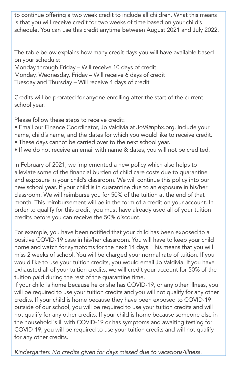to continue offering a two week credit to include all children. What this means is that you will receive credit for two weeks of time based on your child's schedule. You can use this credit anytime between August 2021 and July 2022.

The table below explains how many credit days you will have available based on your schedule:

Monday through Friday – Will receive 10 days of credit Monday, Wednesday, Friday – Will receive 6 days of credit Tuesday and Thursday – Will receive 4 days of credit

Credits will be prorated for anyone enrolling after the start of the current school year.

Please follow these steps to receive credit:

- Email our Finance Coordinator, Jo Valdivia at JoV@nphx.org. Include your name, child's name, and the dates for which you would like to receive credit.
- These days cannot be carried over to the next school year.
- If we do not receive an email with name & dates, you will not be credited.

In February of 2021, we implemented a new policy which also helps to alleviate some of the financial burden of child care costs due to quarantine and exposure in your child's classroom. We will continue this policy into our new school year. If your child is in quarantine due to an exposure in his/her classroom. We will reimburse you for 50% of the tuition at the end of that month. This reimbursement will be in the form of a credit on your account. In order to qualify for this credit, you must have already used all of your tuition credits before you can receive the 50% discount.

For example, you have been notified that your child has been exposed to a positive COVID-19 case in his/her classroom. You will have to keep your child home and watch for symptoms for the next 14 days. This means that you will miss 2 weeks of school. You will be charged your normal rate of tuition. If you would like to use your tuition credits, you would email Jo Valdivia. If you have exhausted all of your tuition credits, we will credit your account for 50% of the tuition paid during the rest of the quarantine time.

If your child is home because he or she has COVID-19, or any other illness, you will be required to use your tuition credits and you will not qualify for any other credits. If your child is home because they have been exposed to COVID-19 outside of our school, you will be required to use your tuition credits and will not qualify for any other credits. If your child is home because someone else in the household is ill with COVID-19 or has symptoms and awaiting testing for COVID-19, you will be required to use your tuition credits and will not qualify for any other credits.

*Kindergarten: No credits given for days missed due to vacations/illness.*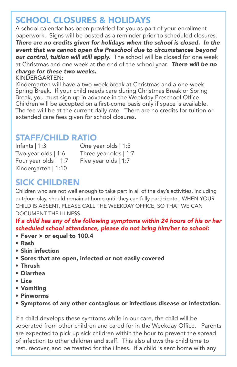## SCHOOL CLOSURES & HOLIDAYS

A school calendar has been provided for you as part of your enrollment paperwork. Signs will be posted as a reminder prior to scheduled closures. *There are no credits given for holidays when the school is closed. In the event that we cannot open the Preschool due to circumstances beyond our control, tuition will still apply.* The school will be closed for one week at Christmas and one week at the end of the school year. *There will be no charge for these two weeks.*

KINDERGARTEN:

Kindergarten will have a two-week break at Christmas and a one-week Spring Break. If your child needs care during Christmas Break or Spring Break, you must sign up in advance in the Weekday Preschool Office. Children will be accepted on a first-come basis only if space is available. The fee will be at the current daily rate. There are no credits for tuition or extended care fees given for school closures.

## STAFF/CHILD RATIO

Infants | 1:3 One year olds | 1:5 Two year olds | 1:6 Three year olds | 1:7 Four year olds | 1:7 Five year olds | 1:7 Kindergarten | 1:10

## SICK CHILDREN

Children who are not well enough to take part in all of the day's activities, including outdoor play, should remain at home until they can fully participate. WHEN YOUR CHILD IS ABSENT, PLEASE CALL THE WEEKDAY OFFICE, SO THAT WE CAN DOCUMENT THE ILLNESS.

*If a child has any of the following symptoms within 24 hours of his or her scheduled school attendance, please do not bring him/her to school:* 

- Fever > or equal to 100.4
- Rash
- Skin infection
- Sores that are open, infected or not easily covered
- Thrush
- Diarrhea
- Lice
- Vomiting
- Pinworms
- Symptoms of any other contagious or infectious disease or infestation.

If a child develops these symtoms while in our care, the child will be seperated from other children and cared for in the Weekday Office. Parents are expected to pick up sick children within the hour to prevent the spread of infection to other children and staff. This also allows the child time to rest, recover, and be treated for the illness. If a child is sent home with any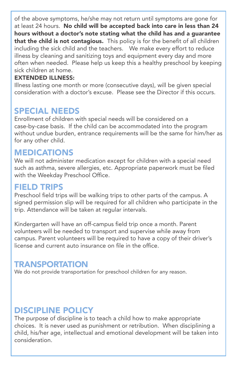of the above symptoms, he/she may not return until symptoms are gone for at least 24 hours. No child will be accepted back into care in less than 24 hours without a doctor's note stating what the child has and a guarantee that the child is not contagious. This policy is for the benefit of all children including the sick child and the teachers. We make every effort to reduce illness by cleaning and sanitizing toys and equipment every day and more often when needed. Please help us keep this a healthy preschool by keeping sick children at home.

#### EXTENDED ILLNESS:

Illness lasting one month or more (consecutive days), will be given special consideration with a doctor's excuse. Please see the Director if this occurs.

## SPECIAL NEEDS

Enrollment of children with special needs will be considered on a case-by-case basis. If the child can be accommodated into the program without undue burden, entrance requirements will be the same for him/her as for any other child.

#### MEDICATIONS

We will not administer medication except for children with a special need such as asthma, severe allergies, etc. Appropriate paperwork must be filed with the Weekday Preschool Office.

### FIELD TRIPS

Preschool field trips will be walking trips to other parts of the campus. A signed permission slip will be required for all children who participate in the trip. Attendance will be taken at regular intervals.

Kindergarten will have an off-campus field trip once a month. Parent volunteers will be needed to transport and supervise while away from campus. Parent volunteers will be required to have a copy of their driver's license and current auto insurance on file in the office.

## **TRANSPORTATION**

We do not provide transportation for preschool children for any reason.

## DISCIPLINE POLICY

The purpose of discipline is to teach a child how to make appropriate choices. It is never used as punishment or retribution. When disciplining a child, his/her age, intellectual and emotional development will be taken into consideration.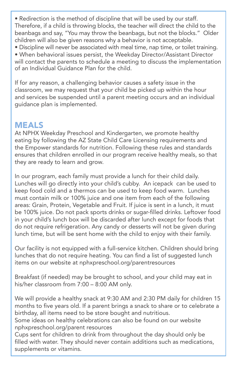• Redirection is the method of discipline that will be used by our staff. Therefore, if a child is throwing blocks, the teacher will direct the child to the beanbags and say, "You may throw the beanbags, but not the blocks." Older children will also be given reasons why a behavior is not acceptable.

• Discipline will never be associated with meal time, nap time, or toilet training.

• When behavioral issues persist, the Weekday Director/Assistant Director will contact the parents to schedule a meeting to discuss the implementation of an Individual Guidance Plan for the child.

If for any reason, a challenging behavior causes a safety issue in the classroom, we may request that your child be picked up within the hour and services be suspended until a parent meeting occurs and an individual guidance plan is implemented.

### MEALS

At NPHX Weekday Preschool and Kindergarten, we promote healthy eating by following the AZ State Child Care Licensing requirements and the Empower standards for nutrition. Following these rules and standards ensures that children enrolled in our program receive healthy meals, so that they are ready to learn and grow.

In our program, each family must provide a lunch for their child daily. Lunches will go directly into your child's cubby. An icepack can be used to keep food cold and a thermos can be used to keep food warm. Lunches must contain milk or 100% juice and one item from each of the following areas: Grain, Protein, Vegetable and Fruit. If juice is sent in a lunch, it must be 100% juice. Do not pack sports drinks or sugar-filled drinks. Leftover food in your child's lunch box will be discarded after lunch except for foods that do not require refrigeration. Any candy or desserts will not be given during lunch time, but will be sent home with the child to enjoy with their family.

Our facility is not equipped with a full-service kitchen. Children should bring lunches that do not require heating. You can find a list of suggested lunch items on our website at nphxpreschool.org/parentresources

Breakfast (if needed) may be brought to school, and your child may eat in his/her classroom from 7:00 – 8:00 AM only.

We will provide a healthy snack at 9:30 AM and 2:30 PM daily for children 15 months to five years old. If a parent brings a snack to share or to celebrate a birthday, all items need to be store bought and nutritious.

Some ideas on healthy celebrations can also be found on our website nphxpreschool.org/parent resources

Cups sent for children to drink from throughout the day should only be filled with water. They should never contain additions such as medications, supplements or vitamins.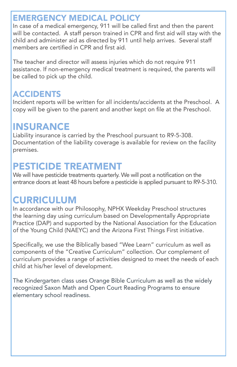## EMERGENCY MEDICAL POLICY

In case of a medical emergency, 911 will be called first and then the parent will be contacted. A staff person trained in CPR and first aid will stay with the child and administer aid as directed by 911 until help arrives. Several staff members are certified in CPR and first aid.

The teacher and director will assess injuries which do not require 911 assistance. If non-emergency medical treatment is required, the parents will be called to pick up the child.

## ACCIDENTS

Incident reports will be written for all incidents/accidents at the Preschool. A copy will be given to the parent and another kept on file at the Preschool.

## INSURANCE

Liability insurance is carried by the Preschool pursuant to R9-5-308. Documentation of the liability coverage is available for review on the facility premises.

## PESTICIDE TREATMENT

We will have pesticide treatments quarterly. We will post a notification on the entrance doors at least 48 hours before a pesticide is applied pursuant to R9-5-310.

## CURRICULUM

In accordance with our Philosophy, NPHX Weekday Preschool structures the learning day using curriculum based on Developmentally Appropriate Practice (DAP) and supported by the National Association for the Education of the Young Child (NAEYC) and the Arizona First Things First initiative.

Specifically, we use the Biblically based "Wee Learn" curriculum as well as components of the "Creative Curriculum" collection. Our complement of curriculum provides a range of activities designed to meet the needs of each child at his/her level of development.

The Kindergarten class uses Orange Bible Curriculum as well as the widely recognized Saxon Math and Open Court Reading Programs to ensure elementary school readiness.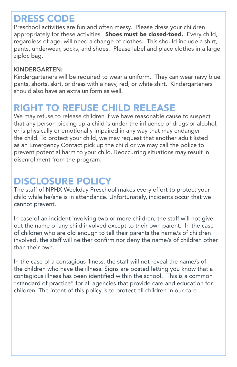## DRESS CODE

Preschool activities are fun and often messy. Please dress your children appropriately for these activities. Shoes must be closed-toed. Every child, regardless of age, will need a change of clothes. This should include a shirt, pants, underwear, socks, and shoes. Please label and place clothes in a large ziploc bag.

#### KINDERGARTEN:

Kindergarteners will be required to wear a uniform. They can wear navy blue pants, shorts, skirt, or dress with a navy, red, or white shirt. Kindergarteners should also have an extra uniform as well.

## RIGHT TO REFUSE CHILD RELEASE

We may refuse to release children if we have reasonable cause to suspect that any person picking up a child is under the influence of drugs or alcohol, or is physically or emotionally impaired in any way that may endanger the child. To protect your child, we may request that another adult listed as an Emergency Contact pick up the child or we may call the police to prevent potential harm to your child. Reoccurring situations may result in disenrollment from the program.

## DISCLOSURE POLICY

The staff of NPHX Weekday Preschool makes every effort to protect your child while he/she is in attendance. Unfortunately, incidents occur that we cannot prevent.

In case of an incident involving two or more children, the staff will not give out the name of any child involved except to their own parent. In the case of children who are old enough to tell their parents the name/s of children involved, the staff will neither confirm nor deny the name/s of children other than their own.

In the case of a contagious illness, the staff will not reveal the name/s of the children who have the illness. Signs are posted letting you know that a contagious illness has been identified within the school. This is a common "standard of practice" for all agencies that provide care and education for children. The intent of this policy is to protect all children in our care.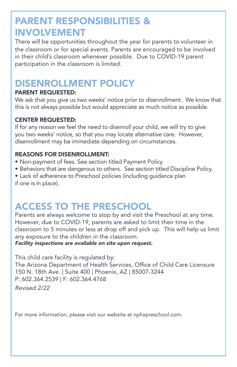## PARENT RESPONSIBILITIES & INVOLVEMENT

There will be opportunities throughout the year for parents to volunteer in the classroom or for special events. Parents are encouraged to be involved in their child's classroom whenever possible. Due to COVID-19 parent participation in the classroom is limited.

## DISENROLLMENT POLICY

#### PARENT REQUESTED:

We ask that you give us two weeks' notice prior to disenrollment. We know that this is not always possible but would appreciate as much notice as possible.

#### CENTER REQUESTED:

If for any reason we feel the need to disenroll your child, we will try to give you two weeks' notice, so that you may locate alternative care. However, disenrollment may be immediate depending on circumstances.

#### REASONS FOR DISENROLLMENT:

- Non-payment of fees. See section titled Payment Policy.
- Behaviors that are dangerous to others. See section titled Discipline Policy.
- Lack of adherence to Preschool policies (including guidance plan if one is in place).

## ACCESS TO THE PRESCHOOL

Parents are always welcome to stop by and visit the Preschool at any time. However, due to COVID-19, parents are asked to limit their time in the classroom to 5 minutes or less at drop off and pick up. This will help us limit any exposure to the children in the classroom.

*Facility inspections are available on site upon request.*

This child care facility is regulated by: The Arizona Department of Health Services, Office of Child Care Licensure 150 N. 18th Ave. | Suite 400 | Phoenix, AZ | 85007-3244 P: 602.364.2539 | F: 602.364.4768

*Revised 2/22*

For more information, please visit our website at nphxpreschool.com.